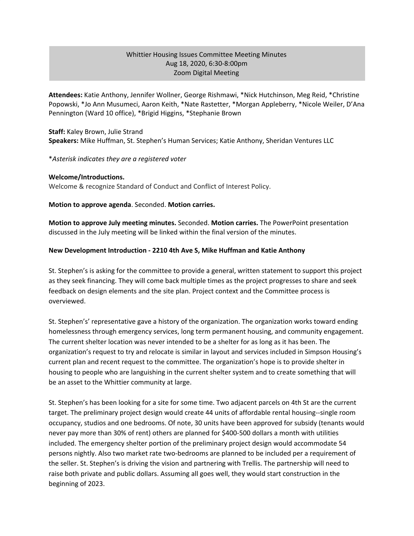## Whittier Housing Issues Committee Meeting Minutes Aug 18, 2020, 6:30-8:00pm Zoom Digital Meeting

**Attendees:** Katie Anthony, Jennifer Wollner, George Rishmawi, \*Nick Hutchinson, Meg Reid, \*Christine Popowski, \*Jo Ann Musumeci, Aaron Keith, \*Nate Rastetter, \*Morgan Appleberry, \*Nicole Weiler, D'Ana Pennington (Ward 10 office), \*Brigid Higgins, \*Stephanie Brown

**Staff:** Kaley Brown, Julie Strand **Speakers:** Mike Huffman, St. Stephen's Human Services; Katie Anthony, Sheridan Ventures LLC

\**Asterisk indicates they are a registered voter*

#### **Welcome/Introductions.**

Welcome & recognize Standard of Conduct and Conflict of Interest Policy.

**Motion to approve agenda**. Seconded. **Motion carries.**

**Motion to approve July meeting minutes.** Seconded. **Motion carries.** The PowerPoint presentation discussed in the July meeting will be linked within the final version of the minutes.

#### **New Development Introduction - 2210 4th Ave S, Mike Huffman and Katie Anthony**

St. Stephen's is asking for the committee to provide a general, written statement to support this project as they seek financing. They will come back multiple times as the project progresses to share and seek feedback on design elements and the site plan. Project context and the Committee process is overviewed.

St. Stephen's' representative gave a history of the organization. The organization works toward ending homelessness through emergency services, long term permanent housing, and community engagement. The current shelter location was never intended to be a shelter for as long as it has been. The organization's request to try and relocate is similar in layout and services included in Simpson Housing's current plan and recent request to the committee. The organization's hope is to provide shelter in housing to people who are languishing in the current shelter system and to create something that will be an asset to the Whittier community at large.

St. Stephen's has been looking for a site for some time. Two adjacent parcels on 4th St are the current target. The preliminary project design would create 44 units of affordable rental housing--single room occupancy, studios and one bedrooms. Of note, 30 units have been approved for subsidy (tenants would never pay more than 30% of rent) others are planned for \$400-500 dollars a month with utilities included. The emergency shelter portion of the preliminary project design would accommodate 54 persons nightly. Also two market rate two-bedrooms are planned to be included per a requirement of the seller. St. Stephen's is driving the vision and partnering with Trellis. The partnership will need to raise both private and public dollars. Assuming all goes well, they would start construction in the beginning of 2023.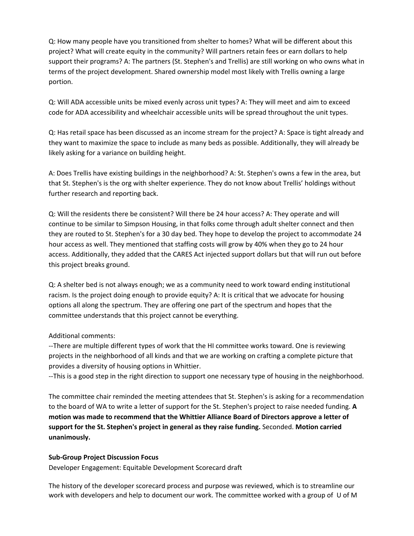Q: How many people have you transitioned from shelter to homes? What will be different about this project? What will create equity in the community? Will partners retain fees or earn dollars to help support their programs? A: The partners (St. Stephen's and Trellis) are still working on who owns what in terms of the project development. Shared ownership model most likely with Trellis owning a large portion.

Q: Will ADA accessible units be mixed evenly across unit types? A: They will meet and aim to exceed code for ADA accessibility and wheelchair accessible units will be spread throughout the unit types.

Q: Has retail space has been discussed as an income stream for the project? A: Space is tight already and they want to maximize the space to include as many beds as possible. Additionally, they will already be likely asking for a variance on building height.

A: Does Trellis have existing buildings in the neighborhood? A: St. Stephen's owns a few in the area, but that St. Stephen's is the org with shelter experience. They do not know about Trellis' holdings without further research and reporting back.

Q: Will the residents there be consistent? Will there be 24 hour access? A: They operate and will continue to be similar to Simpson Housing, in that folks come through adult shelter connect and then they are routed to St. Stephen's for a 30 day bed. They hope to develop the project to accommodate 24 hour access as well. They mentioned that staffing costs will grow by 40% when they go to 24 hour access. Additionally, they added that the CARES Act injected support dollars but that will run out before this project breaks ground.

Q: A shelter bed is not always enough; we as a community need to work toward ending institutional racism. Is the project doing enough to provide equity? A: It is critical that we advocate for housing options all along the spectrum. They are offering one part of the spectrum and hopes that the committee understands that this project cannot be everything.

# Additional comments:

--There are multiple different types of work that the HI committee works toward. One is reviewing projects in the neighborhood of all kinds and that we are working on crafting a complete picture that provides a diversity of housing options in Whittier.

--This is a good step in the right direction to support one necessary type of housing in the neighborhood.

The committee chair reminded the meeting attendees that St. Stephen's is asking for a recommendation to the board of WA to write a letter of support for the St. Stephen's project to raise needed funding. **A motion was made to recommend that the Whittier Alliance Board of Directors approve a letter of support for the St. Stephen's project in general as they raise funding.** Seconded. **Motion carried unanimously.**

### **Sub-Group Project Discussion Focus**

Developer Engagement: Equitable Development Scorecard draft

The history of the developer scorecard process and purpose was reviewed, which is to streamline our work with developers and help to document our work. The committee worked with a group of U of M